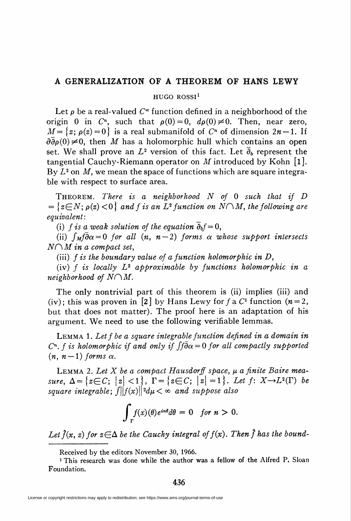## A GENERALIZATION OF A THEOREM OF HANS LEWY

HUGO ROSSI<sup>1</sup>

Let  $\rho$  be a real-valued  $C^{\infty}$  function defined in a neighborhood of the origin 0 in  $C<sup>n</sup>$ , such that  $\rho(0)=0$ ,  $d\rho(0)\neq0$ . Then, near zero,  $M=\{z;\,\rho(z)=0\}$  is a real submanifold of  $C<sup>n</sup>$  of dimension  $2n-1$ . If  $\partial \overline{\partial} \rho(0)\neq 0$ , then M has a holomorphic hull which contains an open set. We shall prove an  $L^2$  version of this fact. Let  $\bar{\partial}_b$  represent the tangential Cauchy-Riemann operator on M introduced by Kohn  $[1]$ . By  $L^2$  on M, we mean the space of functions which are square integrable with respect to surface area.

THEOREM. There is a neighborhood  $N$  of 0 such that if  $D$  $=\{z\in N; \rho(z)<0\}$  and f is an  $L^2$  function on  $N\cap M$ , the following are equivalent:

(i) f is a weak solution of the equation  $\overline{\partial}_b f=0$ ,

(ii)  $\int_M \vec{\theta} \alpha = 0$  for all  $(n, n-2)$  forms  $\alpha$  whose support intersects  $N \cap M$  in a compact set,

(iii)  $f$  is the boundary value of a function holomorphic in  $D$ ,

(iv) f is locally  $L^2$  approximable by functions holomorphic in a neighborhood of  $N\cap M$ .

The only nontrivial part of this theorem is (ii) implies (iii) and (iv); this was proven in [2] by Hans Lewy for f a  $C<sup>1</sup>$  function ( $n=2$ , but that does not matter). The proof here is an adaptation of his argument. We need to use the following verifiable lemmas.

LEMMA 1. Let f be a square integrable function defined in a domain in  $C<sup>n</sup>$ . f is holomorphic if and only if  $\int \tilde{\theta} \alpha = 0$  for all compactly supported  $(n, n-1)$  forms  $\alpha$ .

LEMMA 2. Let  $X$  be a compact Hausdorff space,  $\mu$  a finite Baire measure,  $\Delta = \{z \in C; \ |z| < 1\}, \ \Gamma = \{z \in C; \ |z| = 1\}.$  Let  $f: X \rightarrow L^2(\Gamma)$  be square integrable;  $\int ||f(x)||^2 d\mu < \infty$  and suppose also

$$
\int_{\Gamma} f(x)(\theta) e^{in\theta} d\theta = 0 \quad \text{for } n > 0.
$$

Let  $\hat{f}(x, z)$  for  $z \in \Delta$  be the Cauchy integral of  $f(x)$ . Then  $\hat{f}$  has the bound-

Received by the editors November 30, 1966.

<sup>1</sup> This research was done while the author was a fellow of the Alfred P. Sloan Foundation.

436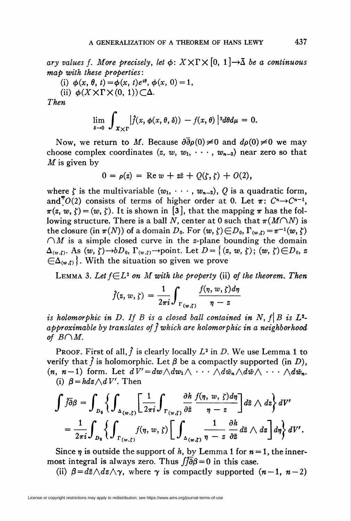ary values f. More precisely, let  $\phi: X \times \Gamma \times [0, 1] \rightarrow \overline{\Delta}$  be a continuous map with these properties:

(i)  $\phi(x, \theta, t) = \phi(x, t)e^{i\theta}, \phi(x, 0) = 1$ ,

(ii)  $\phi(X \times \Gamma \times (0, 1)) \subset \Delta$ .

Then

$$
\lim_{\delta \to 0} \int_{X \times \Gamma} \left| \hat{f}(x, \phi(x, \theta, \delta)) - f(x, \theta) \right|^{2} d\theta d\mu = 0.
$$

Now, we return to M. Because  $\partial \overline{\partial} \rho(0)\neq 0$  and  $d\rho(0)\neq 0$  we may choose complex coordinates  $(z, w, w_1, \dots, w_{n-2})$  near zero so that  $M$  is given by

$$
0 = \rho(z) = \text{Re } w + z\overline{z} + Q(\zeta, \zeta) + O(2),
$$

where  $\zeta$  is the multivariable  $(w_1, \dots, w_{n-2})$ , Q is a quadratic form, and<sup>7</sup> $O(2)$  consists of terms of higher order at 0. Let  $\pi: C^{n} \rightarrow C^{n-1}$ ,  $\pi(z, w, \zeta) = (w, \zeta)$ . It is shown in [3], that the mapping  $\pi$  has the following structure. There is a ball N, center at 0 such that  $\pi(M\cap N)$  is the closure (in  $\pi(N)$ ) of a domain D<sub>0</sub>. For  $(w, \zeta) \in D_0$ ,  $\Gamma_{(w, \zeta)} = \pi^{-1}(w, \zeta)$  $\bigcap M$  is a simple closed curve in the z-plane bounding the domain  $\Delta_{(w,\zeta)}$ . As  $(w, \zeta) \rightarrow bD_0$ ,  $\Gamma_{(w,\zeta)} \rightarrow \text{point}$ . Let  $D = \{(z, w, \zeta); (w, \zeta) \in D_0, z\}$  $\{\Delta_{(w,t)}\}$ . With the situation so given we prove

LEMMA 3. Let  $f \in L^2$  on M with the property (ii) of the theorem. Then

$$
\hat{f}(z, w, \zeta) = \frac{1}{2\pi i} \int_{\Gamma(w, \zeta)} \frac{f(\eta, w, \zeta) d\eta}{\eta - z}
$$

is holomorphic in D. If B is a closed ball contained in N,  $f|B$  is  $L^2$ approximable by translates of  $\hat{f}$  which are holomorphic in a neighborhood of  $B\cap M$ .

PROOF. First of all,  $\hat{f}$  is clearly locally  $L^2$  in D. We use Lemma 1 to verify that  $\hat{f}$  is holomorphic. Let  $\beta$  be a compactly supported (in D),  $(n, n-1)$  form. Let  $dV' = dw \wedge dw_1 \wedge \cdots \wedge d\bar{w}_n \wedge d\bar{w} \wedge \cdots \wedge d\bar{w}_n$ . (i)  $\beta = h dz \wedge dV'$ . Then

$$
\int \tilde{f}\bar{\partial}\beta = \int_{D_0} \left\{ \int_{\Delta_{(w,\zeta)}} \left[ \frac{1}{2\pi i} \int_{\Gamma_{(w,\zeta)}} \frac{\partial h}{\partial \bar{z}} \frac{f(\eta, w, \zeta) d\eta}{\eta - z} \right] d\bar{z} \wedge dz \right\} dV'
$$
  
=  $\frac{1}{2\pi i} \int_{D_0} \left\{ \int_{\Gamma_{(w,\zeta)}} f(\eta, w, \zeta) \left[ \int_{\Delta_{(w,\zeta)}} \frac{1}{\eta - z} \frac{\partial h}{\partial \bar{z}} d\bar{z} \wedge dz \right] d\eta \right\} dV'.$ 

Since  $n$  is outside the support of h, by Lemma 1 for  $n = 1$ , the innermost integral is always zero. Thus  $\int \tilde{\theta} \theta = 0$  in this case.

(ii)  $\beta = d\bar{z} \wedge dz \wedge \gamma$ , where  $\gamma$  is compactly supported  $(n-1, n-2)$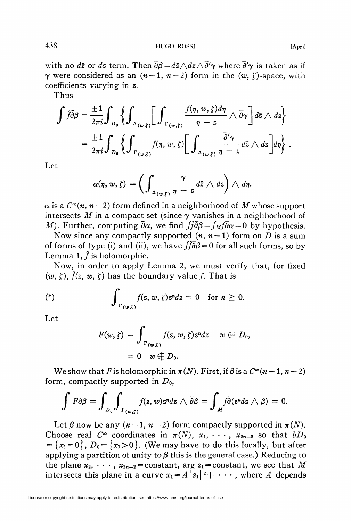with no  $d\bar{z}$  or  $dz$  term. Then  $\overline{\partial}\beta = d\bar{z}\wedge dz\wedge \overline{\partial}'\gamma$  where  $\overline{\partial}'\gamma$  is taken as if  $\gamma$  were considered as an  $(n-1, n-2)$  form in the  $(w, \zeta)$ -space, with coefficients varying in z.

Thus

$$
\int \tilde{f} \bar{\partial} \beta = \frac{\pm 1}{2\pi i} \int_{D_0} \left\{ \int_{\Delta_{(w,\zeta)}} \left[ \int_{\Gamma_{(w,\zeta)}} \frac{f(\eta,w,\zeta) d\eta}{\eta-z} \wedge \bar{\partial} \gamma \right] d\bar{z} \wedge dz \right\}
$$

$$
= \frac{\pm 1}{2\pi i} \int_{D_0} \left\{ \int_{\Gamma_{(w,\zeta)}} f(\eta,w,\zeta) \left[ \int_{\Delta_{(w,\zeta)}} \frac{\bar{\partial}' \gamma}{\eta-z} d\bar{z} \wedge dz \right] d\eta \right\} .
$$

Let

$$
\alpha(\eta, w, \zeta) = \left( \int_{\Delta(w,\zeta)} \frac{\gamma}{\eta - z} \, d\overline{z} \wedge dz \right) \wedge d\eta.
$$

 $\alpha$  is a  $C^{\infty}(n, n-2)$  form defined in a neighborhood of M whose support intersects M in a compact set (since  $\gamma$  vanishes in a neighborhood of M). Further, computing  $\bar{\partial}\alpha$ , we find  $\int \bar{\partial}\beta = \int_M f \bar{\partial}\alpha = 0$  by hypothesis.

Now since any compactly supported  $(n, n-1)$  form on D is a sum of forms of type (i) and (ii), we have  $\hat{f}\hat{\partial}\hat{\beta} = 0$  for all such forms, so by Lemma 1,  $\hat{f}$  is holomorphic.

Now, in order to apply Lemma 2, we must verify that, for fixed  $(w, \zeta)$ ,  $\hat{f}(z, w, \zeta)$  has the boundary value f. That is

$$
\text{(*)}\qquad \qquad \int_{\Gamma(w,\xi)} f(z,w,\xi)z^n dz = 0 \quad \text{for } n \geq 0.
$$

Let

$$
F(w, \zeta) = \int_{\Gamma(w, \zeta)} f(z, w, \zeta) z^n dz \quad w \in D_0,
$$
  
= 0 \quad w \notin D\_0.

We show that F is holomorphic in  $\pi(N)$ . First, if  $\beta$  is a  $C^{\infty}(n - 1, n - 2)$ form, compactly supported in  $D_0$ ,

$$
\int F\bar{\partial}\beta=\int_{D_0}\int_{\Gamma(w,\xi)}f(z,w)z^ndz\wedge\bar{\partial}\beta=\int_Mf\bar{\partial}(z^ndz\wedge\beta)=0.
$$

Let  $\beta$  now be any  $(n-1, n-2)$  form compactly supported in  $\pi(N)$ . Choose real  $C^{\infty}$  coordinates in  $\pi(N)$ ,  $x_1, \dots, x_{2n-2}$  so that  $bD_0$  $=\{x_1=0\}, D_0=\{x_1>0\}.$  (We may have to do this locally, but after applying a partition of unity to  $\beta$  this is the general case.) Reducing to the plane  $x_2, \dots, x_{2n-2}$  = constant, arg  $z_1$  = constant, we see that M intersects this plane in a curve  $x_1 = A \, | \, x_1 \, | \, 2 + \cdot \cdot \cdot$ , where A depends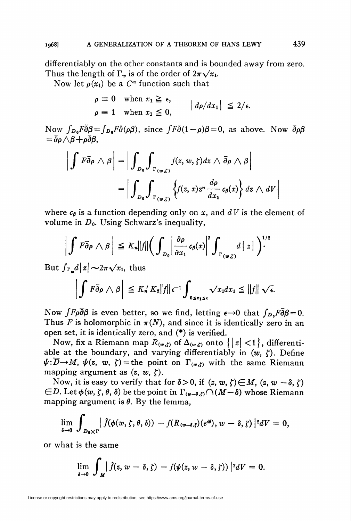differentiably on the other constants and is bounded away from zero. Thus the length of  $\Gamma_w$  is of the order of  $2\pi\sqrt{x_1}$ .

Now let  $\rho(x_1)$  be a  $C^{\infty}$  function such that

 $\rho \equiv 0$  when  $x_1 \geq \epsilon$ ,  $| d\rho/dx_1 | \leq 2/\epsilon.$  $\rho \equiv 1$  when  $x_1 \leq 0$ ,

Now  $\int_{D_0} F \bar{\partial} \beta = \int_{D_0} F \bar{\partial} (\rho \beta)$ , since  $\int F \bar{\partial} (1-\rho) \beta = 0$ , as above. Now  $\bar{\partial} \rho \beta$  $=\bar{\partial}\rho\bigwedge\beta+\rho\bar{\partial}\beta,$ 

$$
\left| \int F \overline{\partial} \rho \wedge \beta \right| = \left| \int_{D_0} \int_{\Gamma(w,\zeta)} f(z,w,\zeta) dz \wedge \overline{\partial} \rho \wedge \beta \right|
$$
  
= 
$$
\left| \int_{D_0} \int_{\Gamma(w,\zeta)} \left\{ f(z,x) z^n \frac{d\rho}{dx_1} c_\beta(x) \right\} dz \wedge dV \right|
$$

where  $c_{\beta}$  is a function depending only on x, and dV is the element of volume in  $D_0$ . Using Schwarz's inequality,

$$
\left|\int F\overline{\partial}\rho\wedge\beta\right| \leq K_n||f||\Big(\int_{D_0}\left|\frac{\partial\rho}{\partial x_1}c_\beta(x)\right|^2\int_{\Gamma(w,\zeta)}d|z|\Big)^{1/2}
$$

But  $\int_{\Gamma_{\bullet}} d|z| \sim 2\pi\sqrt{x_1}$ , thus

$$
\left|\int F\bar{\partial}\rho\wedge\beta\right|\leq K'_nK_\beta\|f\|_{\epsilon^{-1}}\int_{0\leq z_1\leq\epsilon}\sqrt{x_1}dx_1\leq\|f\|\sqrt{\epsilon}.
$$

Now  $\int F \rho \overline{\partial} \beta$  is even better, so we find, letting  $\epsilon \rightarrow 0$  that  $\int_{D_0} F \overline{\partial} \beta = 0$ . Thus F is holomorphic in  $\pi(N)$ , and since it is identically zero in an open set, it is identically zero, and (\*) is verified.

Now, fix a Riemann map  $R(w, t)$  of  $\Delta(w, t)$  onto  $\{|z| < 1\}$ , differentiable at the boundary, and varying differentiably in  $(w, \zeta)$ . Define  $\psi: \overline{D} \to M$ ,  $\psi(z, w, \zeta)$  = the point on  $\Gamma_{(w, \zeta)}$  with the same Riemann mapping argument as  $(z, w, \zeta)$ .

Now, it is easy to verify that for  $\delta > 0$ , if  $(z, w, \zeta) \in M$ ,  $(z, w - \delta, \zeta)$  $\epsilon D$ . Let  $\phi(w, \zeta, \theta, \delta)$  be the point in  $\Gamma_{(w-\delta,\zeta)}\cap(M-\delta)$  whose Riemann mapping argument is  $\theta$ . By the lemma,

$$
\lim_{\delta\to 0}\int_{D_0\times\Gamma}\big|\widehat{f}(\phi(w,\zeta,\theta,\delta))-f(R_{(w-\delta,\zeta)}(e^{i\theta}),w-\delta,\zeta)\big|^2dV=0,
$$

or what is the same

$$
\lim_{\delta\to 0}\int_{M}\left|\hat{f}(z,w-\delta,\zeta)-f(\psi(z,w-\delta,\zeta))\right|^{2}dV=0.
$$